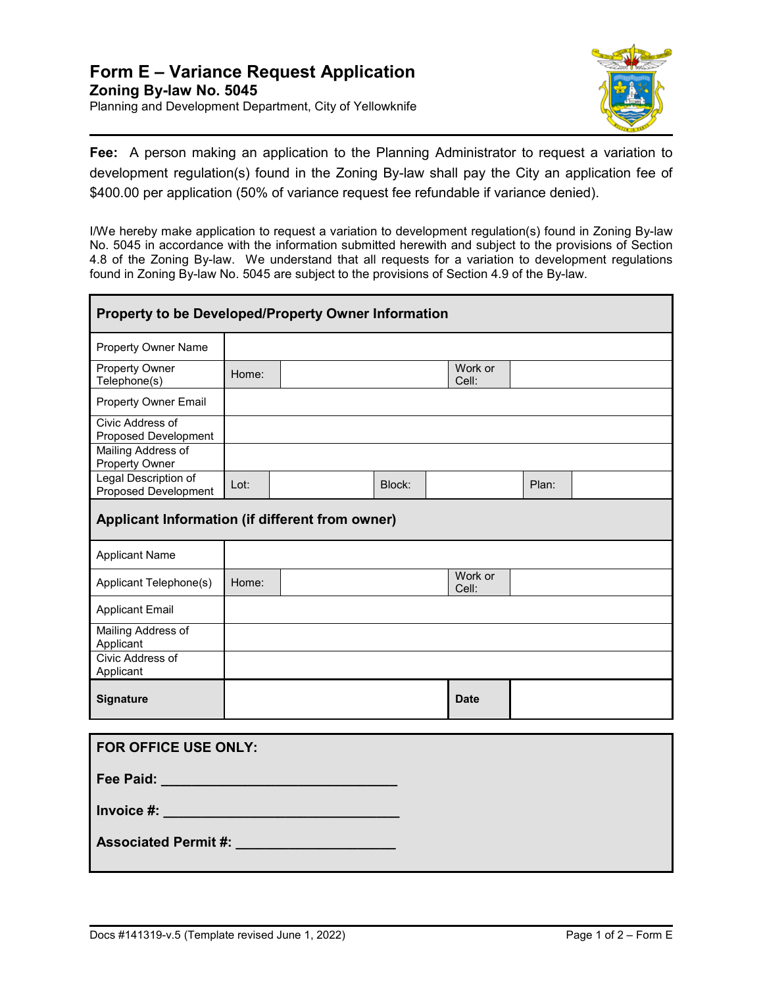

**Fee:** A person making an application to the Planning Administrator to request a variation to development regulation(s) found in the Zoning By-law shall pay the City an application fee of \$400.00 per application (50% of variance request fee refundable if variance denied).

I/We hereby make application to request a variation to development regulation(s) found in Zoning By-law No. 5045 in accordance with the information submitted herewith and subject to the provisions of Section 4.8 of the Zoning By-law. We understand that all requests for a variation to development regulations found in Zoning By-law No. 5045 are subject to the provisions of Section 4.9 of the By-law.

| Property to be Developed/Property Owner Information |       |  |        |                  |       |  |  |  |
|-----------------------------------------------------|-------|--|--------|------------------|-------|--|--|--|
| <b>Property Owner Name</b>                          |       |  |        |                  |       |  |  |  |
| Property Owner<br>Telephone(s)                      | Home: |  |        | Work or<br>Cell: |       |  |  |  |
| <b>Property Owner Email</b>                         |       |  |        |                  |       |  |  |  |
| Civic Address of<br>Proposed Development            |       |  |        |                  |       |  |  |  |
| Mailing Address of<br>Property Owner                |       |  |        |                  |       |  |  |  |
| Legal Description of<br>Proposed Development        | Lot:  |  | Block: |                  | Plan: |  |  |  |
| Applicant Information (if different from owner)     |       |  |        |                  |       |  |  |  |
| <b>Applicant Name</b>                               |       |  |        |                  |       |  |  |  |
| Applicant Telephone(s)                              | Home: |  |        | Work or<br>Cell: |       |  |  |  |
| <b>Applicant Email</b>                              |       |  |        |                  |       |  |  |  |
| Mailing Address of<br>Applicant                     |       |  |        |                  |       |  |  |  |
| Civic Address of<br>Applicant                       |       |  |        |                  |       |  |  |  |
| Signature                                           |       |  |        | <b>Date</b>      |       |  |  |  |
|                                                     |       |  |        |                  |       |  |  |  |
| <b>FOR OFFICE USE ONLY:</b>                         |       |  |        |                  |       |  |  |  |
| Fee Paid: New York 1995                             |       |  |        |                  |       |  |  |  |
| Invoice #: New York Products                        |       |  |        |                  |       |  |  |  |
| <b>Associated Permit #:</b>                         |       |  |        |                  |       |  |  |  |